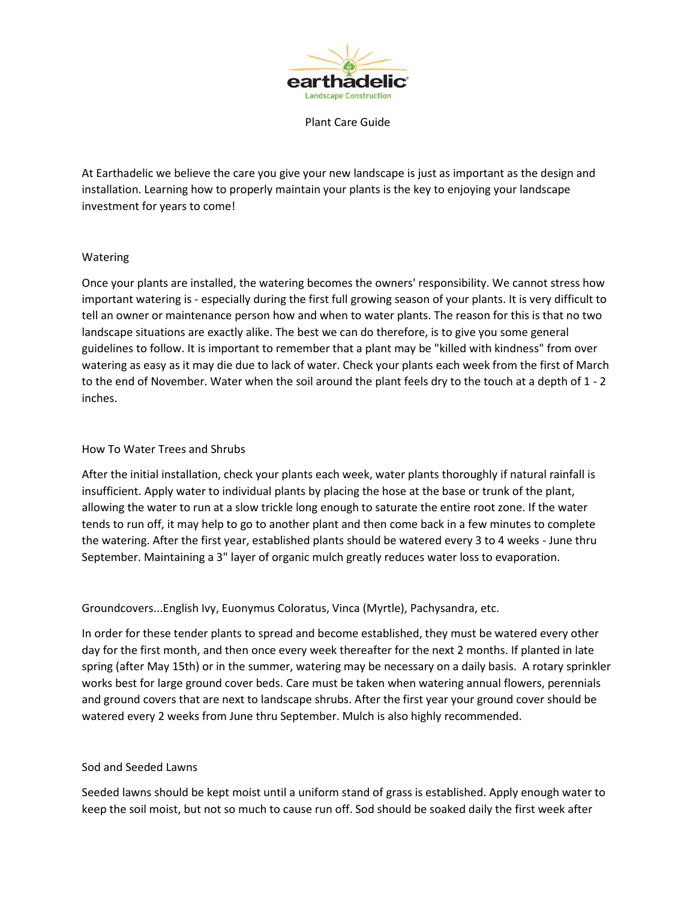

Plant Care Guide

At Earthadelic we believe the care you give your new landscape is just as important as the design and installation. Learning how to properly maintain your plants is the key to enjoying your landscape investment for years to come!

## Watering

Once your plants are installed, the watering becomes the owners' responsibility. We cannot stress how important watering is - especially during the first full growing season of your plants. It is very difficult to tell an owner or maintenance person how and when to water plants. The reason for this is that no two landscape situations are exactly alike. The best we can do therefore, is to give you some general guidelines to follow. It is important to remember that a plant may be "killed with kindness" from over watering as easy as it may die due to lack of water. Check your plants each week from the first of March to the end of November. Water when the soil around the plant feels dry to the touch at a depth of 1 - 2 inches.

### How To Water Trees and Shrubs

After the initial installation, check your plants each week, water plants thoroughly if natural rainfall is insufficient. Apply water to individual plants by placing the hose at the base or trunk of the plant, allowing the water to run at a slow trickle long enough to saturate the entire root zone. If the water tends to run off, it may help to go to another plant and then come back in a few minutes to complete the watering. After the first year, established plants should be watered every 3 to 4 weeks - June thru September. Maintaining a 3" layer of organic mulch greatly reduces water loss to evaporation.

Groundcovers...English Ivy, Euonymus Coloratus, Vinca (Myrtle), Pachysandra, etc.

In order for these tender plants to spread and become established, they must be watered every other day for the first month, and then once every week thereafter for the next 2 months. If planted in late spring (after May 15th) or in the summer, watering may be necessary on a daily basis. A rotary sprinkler works best for large ground cover beds. Care must be taken when watering annual flowers, perennials and ground covers that are next to landscape shrubs. After the first year your ground cover should be watered every 2 weeks from June thru September. Mulch is also highly recommended.

## Sod and Seeded Lawns

Seeded lawns should be kept moist until a uniform stand of grass is established. Apply enough water to keep the soil moist, but not so much to cause run off. Sod should be soaked daily the first week after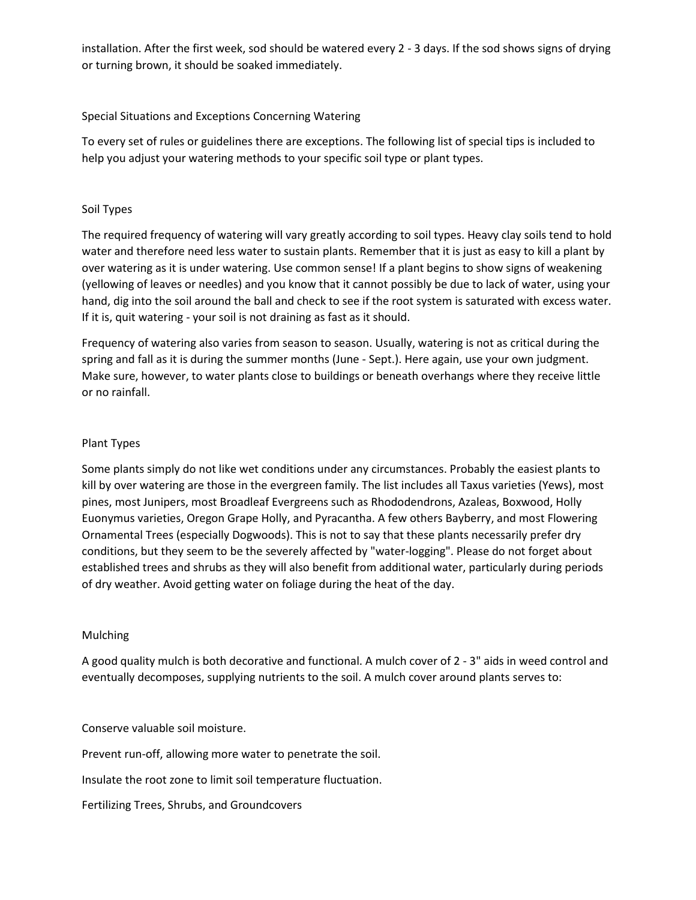installation. After the first week, sod should be watered every 2 - 3 days. If the sod shows signs of drying or turning brown, it should be soaked immediately.

## Special Situations and Exceptions Concerning Watering

To every set of rules or guidelines there are exceptions. The following list of special tips is included to help you adjust your watering methods to your specific soil type or plant types.

## Soil Types

The required frequency of watering will vary greatly according to soil types. Heavy clay soils tend to hold water and therefore need less water to sustain plants. Remember that it is just as easy to kill a plant by over watering as it is under watering. Use common sense! If a plant begins to show signs of weakening (yellowing of leaves or needles) and you know that it cannot possibly be due to lack of water, using your hand, dig into the soil around the ball and check to see if the root system is saturated with excess water. If it is, quit watering - your soil is not draining as fast as it should.

Frequency of watering also varies from season to season. Usually, watering is not as critical during the spring and fall as it is during the summer months (June - Sept.). Here again, use your own judgment. Make sure, however, to water plants close to buildings or beneath overhangs where they receive little or no rainfall.

## Plant Types

Some plants simply do not like wet conditions under any circumstances. Probably the easiest plants to kill by over watering are those in the evergreen family. The list includes all Taxus varieties (Yews), most pines, most Junipers, most Broadleaf Evergreens such as Rhododendrons, Azaleas, Boxwood, Holly Euonymus varieties, Oregon Grape Holly, and Pyracantha. A few others Bayberry, and most Flowering Ornamental Trees (especially Dogwoods). This is not to say that these plants necessarily prefer dry conditions, but they seem to be the severely affected by "water-logging". Please do not forget about established trees and shrubs as they will also benefit from additional water, particularly during periods of dry weather. Avoid getting water on foliage during the heat of the day.

## Mulching

A good quality mulch is both decorative and functional. A mulch cover of 2 - 3" aids in weed control and eventually decomposes, supplying nutrients to the soil. A mulch cover around plants serves to:

Conserve valuable soil moisture.

Prevent run-off, allowing more water to penetrate the soil.

Insulate the root zone to limit soil temperature fluctuation.

Fertilizing Trees, Shrubs, and Groundcovers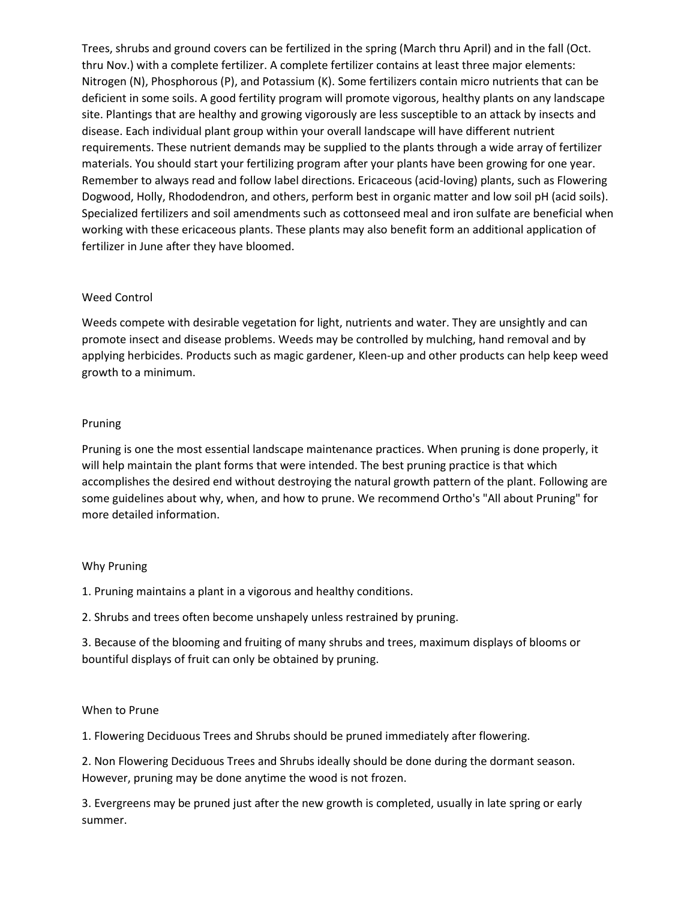Trees, shrubs and ground covers can be fertilized in the spring (March thru April) and in the fall (Oct. thru Nov.) with a complete fertilizer. A complete fertilizer contains at least three major elements: Nitrogen (N), Phosphorous (P), and Potassium (K). Some fertilizers contain micro nutrients that can be deficient in some soils. A good fertility program will promote vigorous, healthy plants on any landscape site. Plantings that are healthy and growing vigorously are less susceptible to an attack by insects and disease. Each individual plant group within your overall landscape will have different nutrient requirements. These nutrient demands may be supplied to the plants through a wide array of fertilizer materials. You should start your fertilizing program after your plants have been growing for one year. Remember to always read and follow label directions. Ericaceous (acid-loving) plants, such as Flowering Dogwood, Holly, Rhododendron, and others, perform best in organic matter and low soil pH (acid soils). Specialized fertilizers and soil amendments such as cottonseed meal and iron sulfate are beneficial when working with these ericaceous plants. These plants may also benefit form an additional application of fertilizer in June after they have bloomed.

## Weed Control

Weeds compete with desirable vegetation for light, nutrients and water. They are unsightly and can promote insect and disease problems. Weeds may be controlled by mulching, hand removal and by applying herbicides. Products such as magic gardener, Kleen-up and other products can help keep weed growth to a minimum.

### Pruning

Pruning is one the most essential landscape maintenance practices. When pruning is done properly, it will help maintain the plant forms that were intended. The best pruning practice is that which accomplishes the desired end without destroying the natural growth pattern of the plant. Following are some guidelines about why, when, and how to prune. We recommend Ortho's "All about Pruning" for more detailed information.

#### Why Pruning

1. Pruning maintains a plant in a vigorous and healthy conditions.

2. Shrubs and trees often become unshapely unless restrained by pruning.

3. Because of the blooming and fruiting of many shrubs and trees, maximum displays of blooms or bountiful displays of fruit can only be obtained by pruning.

#### When to Prune

1. Flowering Deciduous Trees and Shrubs should be pruned immediately after flowering.

2. Non Flowering Deciduous Trees and Shrubs ideally should be done during the dormant season. However, pruning may be done anytime the wood is not frozen.

3. Evergreens may be pruned just after the new growth is completed, usually in late spring or early summer.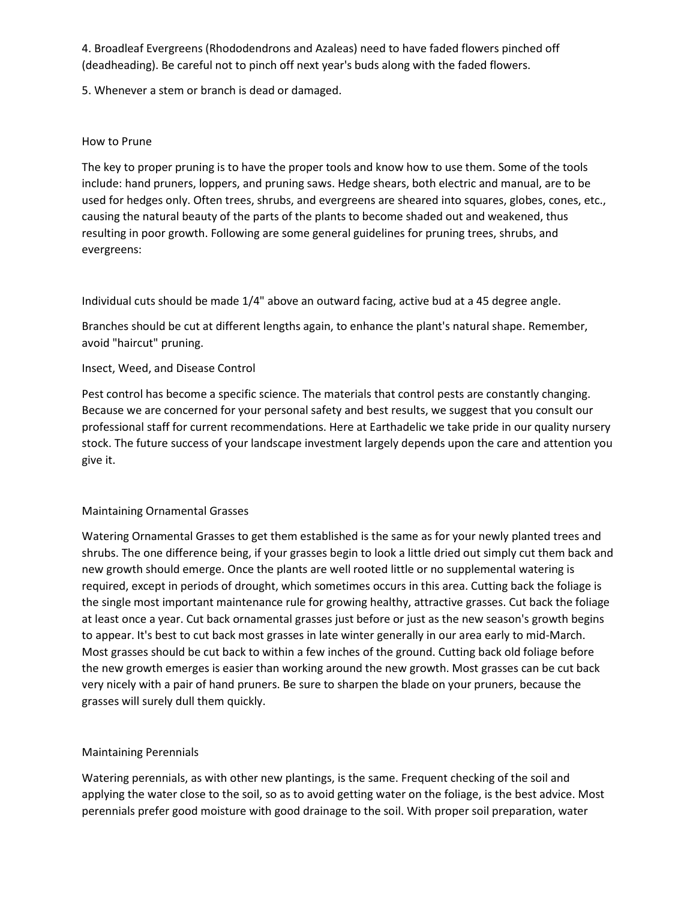4. Broadleaf Evergreens (Rhododendrons and Azaleas) need to have faded flowers pinched off (deadheading). Be careful not to pinch off next year's buds along with the faded flowers.

5. Whenever a stem or branch is dead or damaged.

## How to Prune

The key to proper pruning is to have the proper tools and know how to use them. Some of the tools include: hand pruners, loppers, and pruning saws. Hedge shears, both electric and manual, are to be used for hedges only. Often trees, shrubs, and evergreens are sheared into squares, globes, cones, etc., causing the natural beauty of the parts of the plants to become shaded out and weakened, thus resulting in poor growth. Following are some general guidelines for pruning trees, shrubs, and evergreens:

Individual cuts should be made 1/4" above an outward facing, active bud at a 45 degree angle.

Branches should be cut at different lengths again, to enhance the plant's natural shape. Remember, avoid "haircut" pruning.

# Insect, Weed, and Disease Control

Pest control has become a specific science. The materials that control pests are constantly changing. Because we are concerned for your personal safety and best results, we suggest that you consult our professional staff for current recommendations. Here at Earthadelic we take pride in our quality nursery stock. The future success of your landscape investment largely depends upon the care and attention you give it.

## Maintaining Ornamental Grasses

Watering Ornamental Grasses to get them established is the same as for your newly planted trees and shrubs. The one difference being, if your grasses begin to look a little dried out simply cut them back and new growth should emerge. Once the plants are well rooted little or no supplemental watering is required, except in periods of drought, which sometimes occurs in this area. Cutting back the foliage is the single most important maintenance rule for growing healthy, attractive grasses. Cut back the foliage at least once a year. Cut back ornamental grasses just before or just as the new season's growth begins to appear. It's best to cut back most grasses in late winter generally in our area early to mid-March. Most grasses should be cut back to within a few inches of the ground. Cutting back old foliage before the new growth emerges is easier than working around the new growth. Most grasses can be cut back very nicely with a pair of hand pruners. Be sure to sharpen the blade on your pruners, because the grasses will surely dull them quickly.

# Maintaining Perennials

Watering perennials, as with other new plantings, is the same. Frequent checking of the soil and applying the water close to the soil, so as to avoid getting water on the foliage, is the best advice. Most perennials prefer good moisture with good drainage to the soil. With proper soil preparation, water